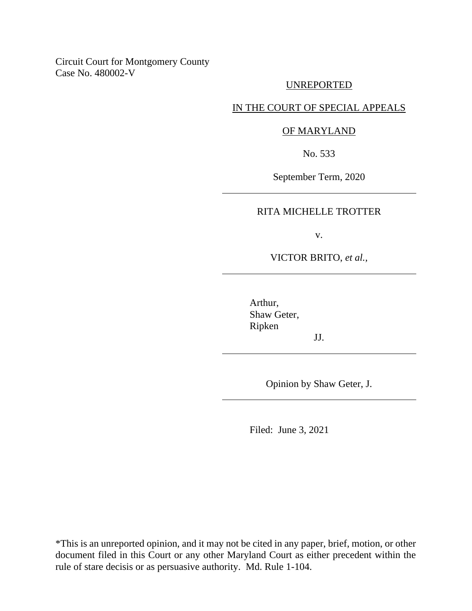Circuit Court for Montgomery County Case No. 480002-V

### UNREPORTED

# IN THE COURT OF SPECIAL APPEALS

### OF MARYLAND

No. 533

September Term, 2020

### RITA MICHELLE TROTTER

v.

VICTOR BRITO, *et al.,*

Arthur, Shaw Geter, Ripken

Opinion by Shaw Geter, J.

JJ.

Filed: June 3, 2021

\*This is an unreported opinion, and it may not be cited in any paper, brief, motion, or other document filed in this Court or any other Maryland Court as either precedent within the rule of stare decisis or as persuasive authority. Md. Rule 1-104.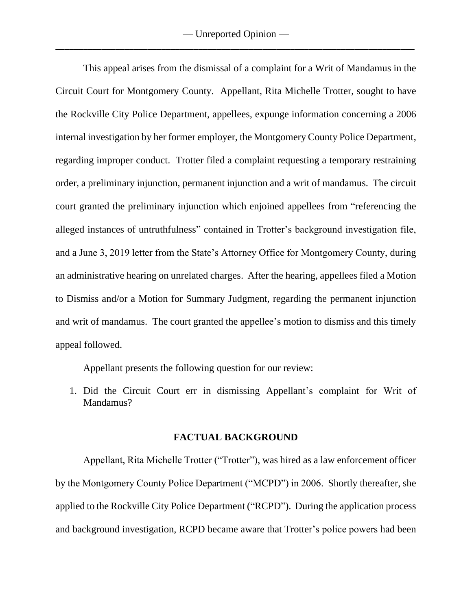This appeal arises from the dismissal of a complaint for a Writ of Mandamus in the Circuit Court for Montgomery County. Appellant, Rita Michelle Trotter, sought to have the Rockville City Police Department, appellees, expunge information concerning a 2006 internal investigation by her former employer, the Montgomery County Police Department, regarding improper conduct. Trotter filed a complaint requesting a temporary restraining order, a preliminary injunction, permanent injunction and a writ of mandamus. The circuit court granted the preliminary injunction which enjoined appellees from "referencing the alleged instances of untruthfulness" contained in Trotter's background investigation file, and a June 3, 2019 letter from the State's Attorney Office for Montgomery County, during an administrative hearing on unrelated charges. After the hearing, appellees filed a Motion to Dismiss and/or a Motion for Summary Judgment, regarding the permanent injunction and writ of mandamus. The court granted the appellee's motion to dismiss and this timely appeal followed.

Appellant presents the following question for our review:

1. Did the Circuit Court err in dismissing Appellant's complaint for Writ of Mandamus?

# **FACTUAL BACKGROUND**

Appellant, Rita Michelle Trotter ("Trotter"), was hired as a law enforcement officer by the Montgomery County Police Department ("MCPD") in 2006. Shortly thereafter, she applied to the Rockville City Police Department ("RCPD"). During the application process and background investigation, RCPD became aware that Trotter's police powers had been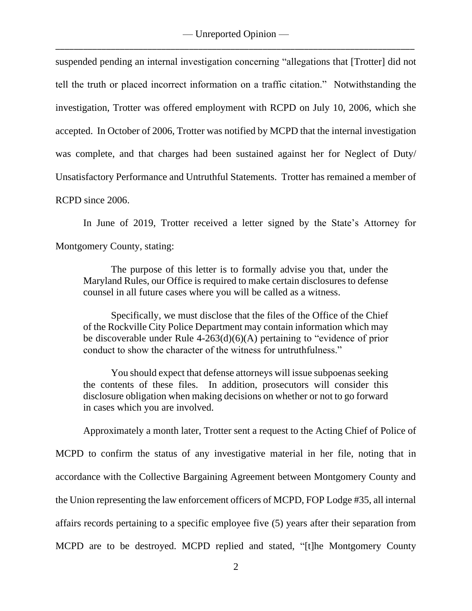suspended pending an internal investigation concerning "allegations that [Trotter] did not tell the truth or placed incorrect information on a traffic citation." Notwithstanding the investigation, Trotter was offered employment with RCPD on July 10, 2006, which she accepted. In October of 2006, Trotter was notified by MCPD that the internal investigation was complete, and that charges had been sustained against her for Neglect of Duty/ Unsatisfactory Performance and Untruthful Statements. Trotter has remained a member of RCPD since 2006.

In June of 2019, Trotter received a letter signed by the State's Attorney for Montgomery County, stating:

The purpose of this letter is to formally advise you that, under the Maryland Rules, our Office is required to make certain disclosures to defense counsel in all future cases where you will be called as a witness.

Specifically, we must disclose that the files of the Office of the Chief of the Rockville City Police Department may contain information which may be discoverable under Rule 4-263(d)(6)(A) pertaining to "evidence of prior conduct to show the character of the witness for untruthfulness."

You should expect that defense attorneys will issue subpoenas seeking the contents of these files. In addition, prosecutors will consider this disclosure obligation when making decisions on whether or not to go forward in cases which you are involved.

Approximately a month later, Trotter sent a request to the Acting Chief of Police of MCPD to confirm the status of any investigative material in her file, noting that in accordance with the Collective Bargaining Agreement between Montgomery County and the Union representing the law enforcement officers of MCPD, FOP Lodge #35, all internal affairs records pertaining to a specific employee five (5) years after their separation from MCPD are to be destroyed. MCPD replied and stated, "[t]he Montgomery County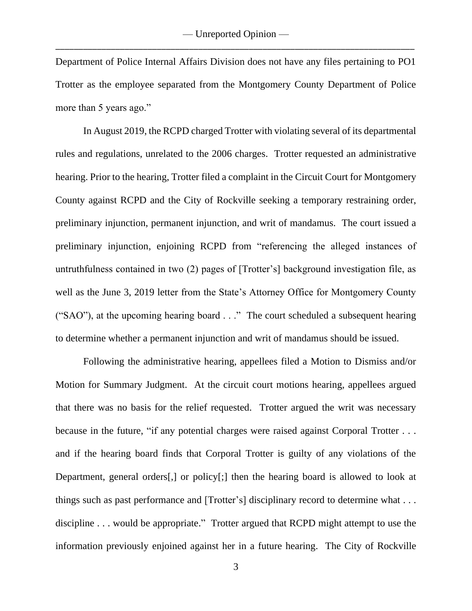Department of Police Internal Affairs Division does not have any files pertaining to PO1 Trotter as the employee separated from the Montgomery County Department of Police more than 5 years ago."

In August 2019, the RCPD charged Trotter with violating several of its departmental rules and regulations, unrelated to the 2006 charges. Trotter requested an administrative hearing. Prior to the hearing, Trotter filed a complaint in the Circuit Court for Montgomery County against RCPD and the City of Rockville seeking a temporary restraining order, preliminary injunction, permanent injunction, and writ of mandamus. The court issued a preliminary injunction, enjoining RCPD from "referencing the alleged instances of untruthfulness contained in two (2) pages of [Trotter's] background investigation file, as well as the June 3, 2019 letter from the State's Attorney Office for Montgomery County ("SAO"), at the upcoming hearing board . . ." The court scheduled a subsequent hearing to determine whether a permanent injunction and writ of mandamus should be issued.

Following the administrative hearing, appellees filed a Motion to Dismiss and/or Motion for Summary Judgment. At the circuit court motions hearing, appellees argued that there was no basis for the relief requested. Trotter argued the writ was necessary because in the future, "if any potential charges were raised against Corporal Trotter . . . and if the hearing board finds that Corporal Trotter is guilty of any violations of the Department, general orders[,] or policy[;] then the hearing board is allowed to look at things such as past performance and [Trotter's] disciplinary record to determine what . . . discipline . . . would be appropriate." Trotter argued that RCPD might attempt to use the information previously enjoined against her in a future hearing. The City of Rockville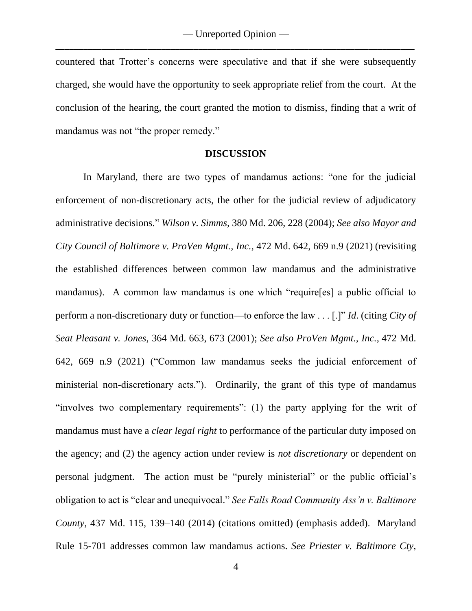countered that Trotter's concerns were speculative and that if she were subsequently charged, she would have the opportunity to seek appropriate relief from the court. At the conclusion of the hearing, the court granted the motion to dismiss, finding that a writ of mandamus was not "the proper remedy."

### **DISCUSSION**

In Maryland, there are two types of mandamus actions: "one for the judicial enforcement of non-discretionary acts, the other for the judicial review of adjudicatory administrative decisions." *Wilson v. Simms*, 380 Md. 206, 228 (2004); *See also Mayor and City Council of Baltimore v. ProVen Mgmt., Inc.*, 472 Md. 642, 669 n.9 (2021) (revisiting the established differences between common law mandamus and the administrative mandamus). A common law mandamus is one which "require[es] a public official to perform a non-discretionary duty or function—to enforce the law . . . [.]" *Id*. (citing *City of Seat Pleasant v. Jones*, 364 Md. 663, 673 (2001); *See also ProVen Mgmt., Inc.*, 472 Md. 642, 669 n.9 (2021) ("Common law mandamus seeks the judicial enforcement of ministerial non-discretionary acts."). Ordinarily, the grant of this type of mandamus "involves two complementary requirements": (1) the party applying for the writ of mandamus must have a *clear legal right* to performance of the particular duty imposed on the agency; and (2) the agency action under review is *not discretionary* or dependent on personal judgment. The action must be "purely ministerial" or the public official's obligation to act is "clear and unequivocal." *See Falls Road Community Ass'n v. Baltimore County*, 437 Md. 115, 139–140 (2014) (citations omitted) (emphasis added). Maryland Rule 15-701 addresses common law mandamus actions. *See Priester v. Baltimore Cty,*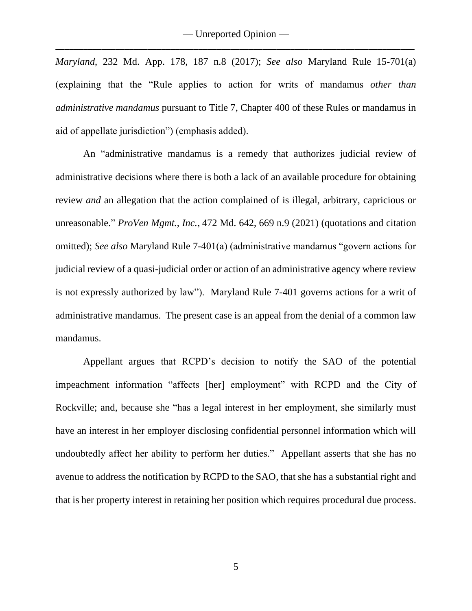*Maryland*, 232 Md. App. 178, 187 n.8 (2017); *See also* Maryland Rule 15-701(a) (explaining that the "Rule applies to action for writs of mandamus *other than administrative mandamus* pursuant to Title 7, Chapter 400 of these Rules or mandamus in aid of appellate jurisdiction") (emphasis added).

An "administrative mandamus is a remedy that authorizes judicial review of administrative decisions where there is both a lack of an available procedure for obtaining review *and* an allegation that the action complained of is illegal, arbitrary, capricious or unreasonable." *ProVen Mgmt., Inc.*, 472 Md. 642, 669 n.9 (2021) (quotations and citation omitted); *See also* Maryland Rule 7-401(a) (administrative mandamus "govern actions for judicial review of a quasi-judicial order or action of an administrative agency where review is not expressly authorized by law"). Maryland Rule 7-401 governs actions for a writ of administrative mandamus. The present case is an appeal from the denial of a common law mandamus.

Appellant argues that RCPD's decision to notify the SAO of the potential impeachment information "affects [her] employment" with RCPD and the City of Rockville; and, because she "has a legal interest in her employment, she similarly must have an interest in her employer disclosing confidential personnel information which will undoubtedly affect her ability to perform her duties." Appellant asserts that she has no avenue to address the notification by RCPD to the SAO, that she has a substantial right and that is her property interest in retaining her position which requires procedural due process.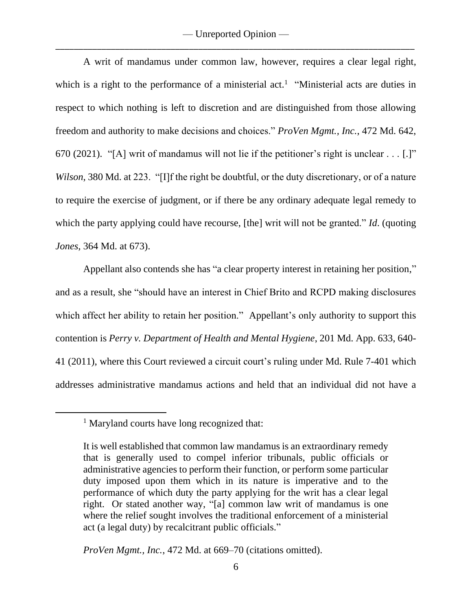— Unreported Opinion — \_\_\_\_\_\_\_\_\_\_\_\_\_\_\_\_\_\_\_\_\_\_\_\_\_\_\_\_\_\_\_\_\_\_\_\_\_\_\_\_\_\_\_\_\_\_\_\_\_\_\_\_\_\_\_\_\_\_\_\_\_\_\_\_\_\_\_\_\_\_\_\_\_\_\_\_\_\_

A writ of mandamus under common law, however, requires a clear legal right, which is a right to the performance of a ministerial act.<sup>1</sup> "Ministerial acts are duties in respect to which nothing is left to discretion and are distinguished from those allowing freedom and authority to make decisions and choices." *ProVen Mgmt., Inc.*, 472 Md. 642, 670 (2021). "[A] writ of mandamus will not lie if the petitioner's right is unclear . . . [.]" *Wilson*, 380 Md. at 223. "[I]f the right be doubtful, or the duty discretionary, or of a nature to require the exercise of judgment, or if there be any ordinary adequate legal remedy to which the party applying could have recourse, [the] writ will not be granted." *Id.* (quoting *Jones*, 364 Md. at 673).

Appellant also contends she has "a clear property interest in retaining her position," and as a result, she "should have an interest in Chief Brito and RCPD making disclosures which affect her ability to retain her position." Appellant's only authority to support this contention is *Perry v. Department of Health and Mental Hygiene*, 201 Md. App. 633, 640- 41 (2011), where this Court reviewed a circuit court's ruling under Md. Rule 7-401 which addresses administrative mandamus actions and held that an individual did not have a

*ProVen Mgmt., Inc.*, 472 Md. at 669–70 (citations omitted).

<sup>&</sup>lt;sup>1</sup> Maryland courts have long recognized that:

It is well established that common law mandamus is an extraordinary remedy that is generally used to compel inferior tribunals, public officials or administrative agencies to perform their function, or perform some particular duty imposed upon them which in its nature is imperative and to the performance of which duty the party applying for the writ has a clear legal right. Or stated another way, "[a] common law writ of mandamus is one where the relief sought involves the traditional enforcement of a ministerial act (a legal duty) by recalcitrant public officials."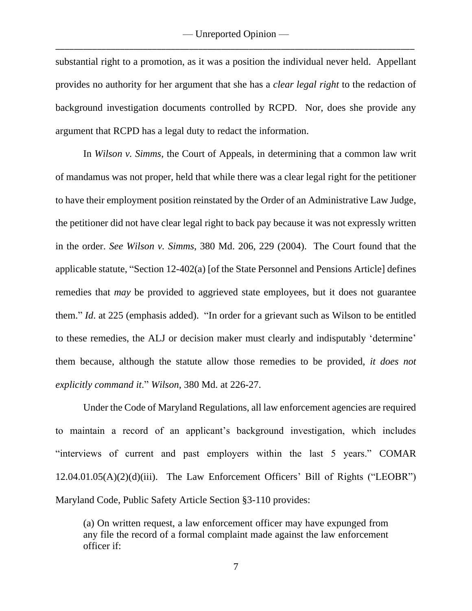substantial right to a promotion, as it was a position the individual never held. Appellant provides no authority for her argument that she has a *clear legal right* to the redaction of background investigation documents controlled by RCPD. Nor, does she provide any argument that RCPD has a legal duty to redact the information.

In *Wilson v. Simms*, the Court of Appeals, in determining that a common law writ of mandamus was not proper, held that while there was a clear legal right for the petitioner to have their employment position reinstated by the Order of an Administrative Law Judge, the petitioner did not have clear legal right to back pay because it was not expressly written in the order. *See Wilson v. Simms*, 380 Md. 206, 229 (2004). The Court found that the applicable statute, "Section 12-402(a) [of the State Personnel and Pensions Article] defines remedies that *may* be provided to aggrieved state employees, but it does not guarantee them." *Id*. at 225 (emphasis added). "In order for a grievant such as Wilson to be entitled to these remedies, the ALJ or decision maker must clearly and indisputably 'determine' them because, although the statute allow those remedies to be provided, *it does not explicitly command it*." *Wilson*, 380 Md. at 226-27.

Under the Code of Maryland Regulations, all law enforcement agencies are required to maintain a record of an applicant's background investigation, which includes "interviews of current and past employers within the last 5 years." COMAR 12.04.01.05(A)(2)(d)(iii). The Law Enforcement Officers' Bill of Rights ("LEOBR") Maryland Code, Public Safety Article Section §3-110 provides:

<sup>(</sup>a) On written request, a law enforcement officer may have expunged from any file the record of a formal complaint made against the law enforcement officer if: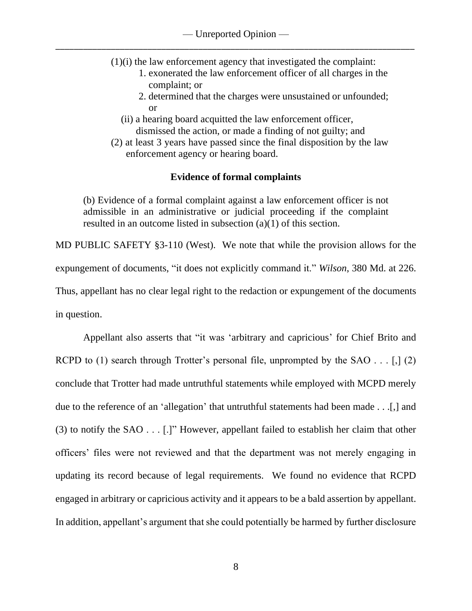- (1)(i) the law enforcement agency that investigated the complaint:
	- 1. exonerated the law enforcement officer of all charges in the complaint; or
	- 2. determined that the charges were unsustained or unfounded; or
	- (ii) a hearing board acquitted the law enforcement officer, dismissed the action, or made a finding of not guilty; and
- (2) at least 3 years have passed since the final disposition by the law enforcement agency or hearing board.

# **Evidence of formal complaints**

(b) Evidence of a formal complaint against a law enforcement officer is not admissible in an administrative or judicial proceeding if the complaint resulted in an outcome listed in subsection (a)(1) of this section.

MD PUBLIC SAFETY §3-110 (West). We note that while the provision allows for the expungement of documents, "it does not explicitly command it." *Wilson*, 380 Md. at 226. Thus, appellant has no clear legal right to the redaction or expungement of the documents in question.

Appellant also asserts that "it was 'arbitrary and capricious' for Chief Brito and RCPD to (1) search through Trotter's personal file, unprompted by the SAO  $\dots$  [,] (2) conclude that Trotter had made untruthful statements while employed with MCPD merely due to the reference of an 'allegation' that untruthful statements had been made . . .[,] and (3) to notify the SAO . . . [.]" However, appellant failed to establish her claim that other officers' files were not reviewed and that the department was not merely engaging in updating its record because of legal requirements. We found no evidence that RCPD engaged in arbitrary or capricious activity and it appears to be a bald assertion by appellant. In addition, appellant's argument that she could potentially be harmed by further disclosure